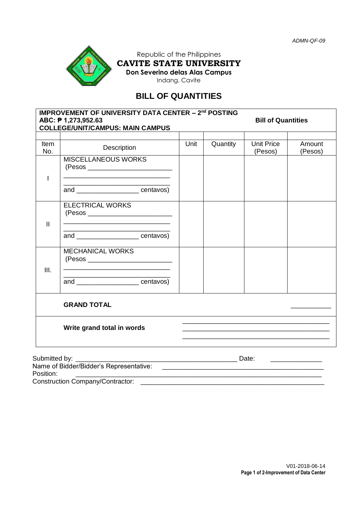

Republic of the Philippines **CAVITE STATE UNIVERSITY Don Severino delas Alas Campus** Indang, Cavite

# **BILL OF QUANTITIES**

|               | <b>IMPROVEMENT OF UNIVERSITY DATA CENTER - 2nd POSTING</b><br>ABC: ₱ 1,273,952.63<br><b>COLLEGE/UNIT/CAMPUS: MAIN CAMPUS</b>                                 |      | <b>Bill of Quantities</b> |                                                                                                                       |                   |  |
|---------------|--------------------------------------------------------------------------------------------------------------------------------------------------------------|------|---------------------------|-----------------------------------------------------------------------------------------------------------------------|-------------------|--|
|               |                                                                                                                                                              |      |                           |                                                                                                                       |                   |  |
| Item<br>No.   | Description                                                                                                                                                  | Unit | Quantity                  | <b>Unit Price</b><br>(Pesos)                                                                                          | Amount<br>(Pesos) |  |
| T             | <b>MISCELLANEOUS WORKS</b>                                                                                                                                   |      |                           |                                                                                                                       |                   |  |
|               | <u> 1989 - Johann John Stone, markin amerikan basar dan berkembang di banyak di banyak di banyak di banyak di ban</u><br>and ______________________centavos) |      |                           |                                                                                                                       |                   |  |
| $\mathbf{I}$  | <b>ELECTRICAL WORKS</b><br>(Pesos ______________________________                                                                                             |      |                           |                                                                                                                       |                   |  |
|               | and _______________________centavos)                                                                                                                         |      |                           |                                                                                                                       |                   |  |
| III.          | <b>MECHANICAL WORKS</b>                                                                                                                                      |      |                           |                                                                                                                       |                   |  |
|               | and ______________________centavos)                                                                                                                          |      |                           |                                                                                                                       |                   |  |
|               | <b>GRAND TOTAL</b>                                                                                                                                           |      |                           |                                                                                                                       |                   |  |
|               | Write grand total in words                                                                                                                                   |      |                           | <u> 1989 - Johann Stoff, deutscher Stoff, der Stoff, der Stoff, der Stoff, der Stoff, der Stoff, der Stoff, der S</u> |                   |  |
| Submitted by: |                                                                                                                                                              |      |                           |                                                                                                                       |                   |  |
| Position:     | Name of Bidder/Bidder's Representative:                                                                                                                      |      |                           | <u> 1989 - Johann Harry Harry Harry Harry Harry Harry Harry Harry Harry Harry Harry Harry Harry Harry Harry Harry</u> |                   |  |

Construction Company/Contractor: